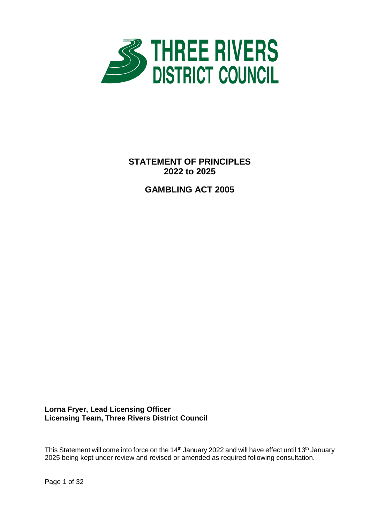

**STATEMENT OF PRINCIPLES 2022 to 2025**

**GAMBLING ACT 2005** 

**Lorna Fryer, Lead Licensing Officer Licensing Team, Three Rivers District Council**

This Statement will come into force on the 14<sup>th</sup> January 2022 and will have effect until 13<sup>th</sup> January 2025 being kept under review and revised or amended as required following consultation.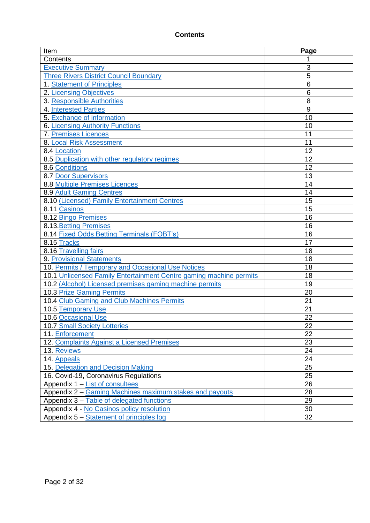## **Contents**

| Item                                                               | Page |
|--------------------------------------------------------------------|------|
| Contents                                                           |      |
| <b>Executive Summary</b>                                           | 3    |
| <b>Three Rivers District Council Boundary</b>                      | 5    |
| 1. Statement of Principles                                         | 6    |
| 2. Licensing Objectives                                            | 6    |
| 3. Responsible Authorities                                         | 8    |
| <b>4. Interested Parties</b>                                       | 9    |
| 5. Exchange of information                                         | 10   |
| 6. Licensing Authority Functions                                   | 10   |
| <b>7. Premises Licences</b>                                        | 11   |
| 8. Local Risk Assessment                                           | 11   |
| 8.4 Location                                                       | 12   |
| 8.5 Duplication with other regulatory regimes                      | 12   |
| 8.6 Conditions                                                     | 12   |
| 8.7 Door Supervisors                                               | 13   |
| <b>8.8 Multiple Premises Licences</b>                              | 14   |
| 8.9 Adult Gaming Centres                                           | 14   |
| 8.10 (Licensed) Family Entertainment Centres                       | 15   |
| 8.11 Casinos                                                       | 15   |
| 8.12 Bingo Premises                                                | 16   |
| 8.13 Betting Premises                                              | 16   |
| 8.14 Fixed Odds Betting Terminals (FOBT's)                         | 16   |
| 8.15 Tracks                                                        | 17   |
| 8.16 Travelling fairs                                              | 18   |
| <b>9. Provisional Statements</b>                                   | 18   |
| 10. Permits / Temporary and Occasional Use Notices                 | 18   |
| 10.1 Unlicensed Family Entertainment Centre gaming machine permits | 18   |
| 10.2 (Alcohol) Licensed premises gaming machine permits            | 19   |
| <b>10.3 Prize Gaming Permits</b>                                   | 20   |
| 10.4 Club Gaming and Club Machines Permits                         | 21   |
| 10.5 Temporary Use                                                 | 21   |
| <b>10.6 Occasional Use</b>                                         | 22   |
| 10.7 Small Society Lotteries                                       | 22   |
| 11. Enforcement                                                    | 22   |
| 12. Complaints Against a Licensed Premises                         | 23   |
| 13. Reviews                                                        | 24   |
| 14. Appeals                                                        | 24   |
| 15. Delegation and Decision Making                                 | 25   |
| 16. Covid-19, Coronavirus Regulations                              | 25   |
| Appendix 1 – List of consultees                                    | 26   |
| Appendix 2 – Gaming Machines maximum stakes and payouts            | 28   |
| Appendix 3 - Table of delegated functions                          | 29   |
| Appendix 4 - No Casinos policy resolution                          | 30   |
| Appendix 5 - Statement of principles log                           | 32   |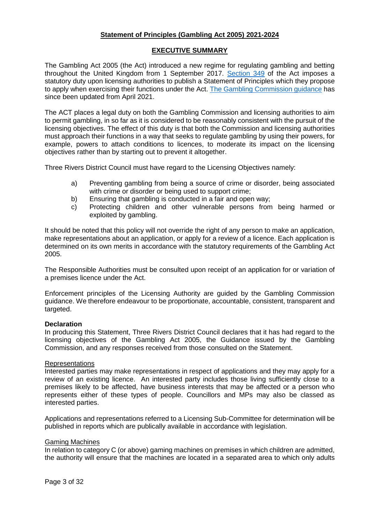## **Statement of Principles (Gambling Act 2005) 2021-2024**

## **EXECUTIVE SUMMARY**

The Gambling Act 2005 (the Act) introduced a new regime for regulating gambling and betting throughout the United Kingdom from 1 September 2017. [Section 349](https://www.legislation.gov.uk/ukpga/2005/19/section/349) of the Act imposes a statutory duty upon licensing authorities to publish a Statement of Principles which they propose to apply when exercising their functions under the Act. [The Gambling Commission guidance](https://beta.gamblingcommission.gov.uk/guidance/guidance-to-licensing-authorities/gla-part-6-licensing-authority-policy-statement) has since been updated from April 2021.

The ACT places a legal duty on both the Gambling Commission and licensing authorities to aim to permit gambling, in so far as it is considered to be reasonably consistent with the pursuit of the licensing objectives. The effect of this duty is that both the Commission and licensing authorities must approach their functions in a way that seeks to regulate gambling by using their powers, for example, powers to attach conditions to licences, to moderate its impact on the licensing objectives rather than by starting out to prevent it altogether.

Three Rivers District Council must have regard to the Licensing Objectives namely:

- a) Preventing gambling from being a source of crime or disorder, being associated with crime or disorder or being used to support crime;
- b) Ensuring that gambling is conducted in a fair and open way;
- c) Protecting children and other vulnerable persons from being harmed or exploited by gambling.

It should be noted that this policy will not override the right of any person to make an application, make representations about an application, or apply for a review of a licence. Each application is determined on its own merits in accordance with the statutory requirements of the Gambling Act 2005.

The Responsible Authorities must be consulted upon receipt of an application for or variation of a premises licence under the Act.

Enforcement principles of the Licensing Authority are guided by the Gambling Commission guidance. We therefore endeavour to be proportionate, accountable, consistent, transparent and targeted.

#### **Declaration**

In producing this Statement, Three Rivers District Council declares that it has had regard to the licensing objectives of the Gambling Act 2005, the Guidance issued by the Gambling Commission, and any responses received from those consulted on the Statement.

#### Representations

Interested parties may make representations in respect of applications and they may apply for a review of an existing licence. An interested party includes those living sufficiently close to a premises likely to be affected, have business interests that may be affected or a person who represents either of these types of people. Councillors and MPs may also be classed as interested parties.

Applications and representations referred to a Licensing Sub-Committee for determination will be published in reports which are publically available in accordance with legislation.

## Gaming Machines

In relation to category C (or above) gaming machines on premises in which children are admitted, the authority will ensure that the machines are located in a separated area to which only adults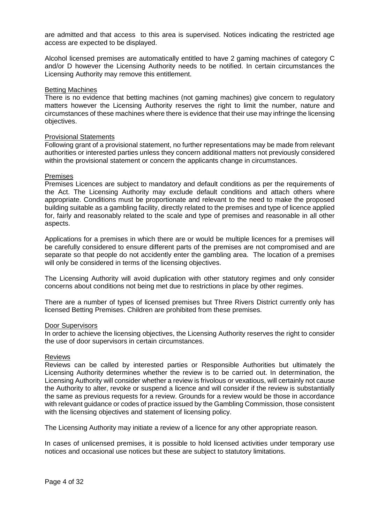are admitted and that access to this area is supervised. Notices indicating the restricted age access are expected to be displayed.

Alcohol licensed premises are automatically entitled to have 2 gaming machines of category C and/or D however the Licensing Authority needs to be notified. In certain circumstances the Licensing Authority may remove this entitlement.

#### Betting Machines

There is no evidence that betting machines (not gaming machines) give concern to regulatory matters however the Licensing Authority reserves the right to limit the number, nature and circumstances of these machines where there is evidence that their use may infringe the licensing objectives.

#### Provisional Statements

Following grant of a provisional statement, no further representations may be made from relevant authorities or interested parties unless they concern additional matters not previously considered within the provisional statement or concern the applicants change in circumstances.

#### Premises

Premises Licences are subject to mandatory and default conditions as per the requirements of the Act. The Licensing Authority may exclude default conditions and attach others where appropriate. Conditions must be proportionate and relevant to the need to make the proposed building suitable as a gambling facility, directly related to the premises and type of licence applied for, fairly and reasonably related to the scale and type of premises and reasonable in all other aspects.

Applications for a premises in which there are or would be multiple licences for a premises will be carefully considered to ensure different parts of the premises are not compromised and are separate so that people do not accidently enter the gambling area. The location of a premises will only be considered in terms of the licensing objectives.

The Licensing Authority will avoid duplication with other statutory regimes and only consider concerns about conditions not being met due to restrictions in place by other regimes.

There are a number of types of licensed premises but Three Rivers District currently only has licensed Betting Premises. Children are prohibited from these premises.

#### Door Supervisors

In order to achieve the licensing objectives, the Licensing Authority reserves the right to consider the use of door supervisors in certain circumstances.

#### Reviews

Reviews can be called by interested parties or Responsible Authorities but ultimately the Licensing Authority determines whether the review is to be carried out. In determination, the Licensing Authority will consider whether a review is frivolous or vexatious, will certainly not cause the Authority to alter, revoke or suspend a licence and will consider if the review is substantially the same as previous requests for a review. Grounds for a review would be those in accordance with relevant guidance or codes of practice issued by the Gambling Commission, those consistent with the licensing objectives and statement of licensing policy.

The Licensing Authority may initiate a review of a licence for any other appropriate reason.

In cases of unlicensed premises, it is possible to hold licensed activities under temporary use notices and occasional use notices but these are subject to statutory limitations.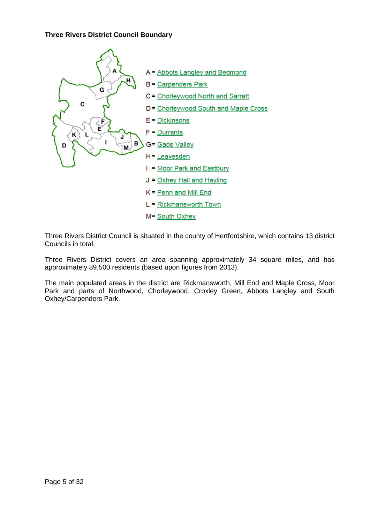## **Three Rivers District Council Boundary**



Three Rivers District Council is situated in the county of Hertfordshire, which contains 13 district Councils in total.

Three Rivers District covers an area spanning approximately 34 square miles, and has approximately 89,500 residents (based upon figures from 2013).

The main populated areas in the district are Rickmansworth, Mill End and Maple Cross, Moor Park and parts of Northwood, Chorleywood, Croxley Green, Abbots Langley and South Oxhey/Carpenders Park.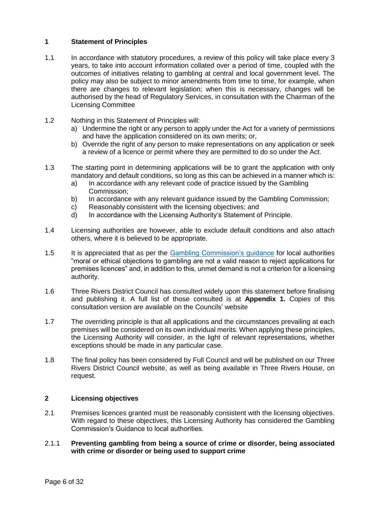## <span id="page-5-0"></span>**1 Statement of Principles**

- 1.1 In accordance with statutory procedures, a review of this policy will take place every 3 years, to take into account information collated over a period of time, coupled with the outcomes of initiatives relating to gambling at central and local government level. The policy may also be subject to minor amendments from time to time, for example, when there are changes to relevant legislation; when this is necessary, changes will be authorised by the head of Regulatory Services, in consultation with the Chairman of the Licensing Committee
- 1.2 Nothing in this Statement of Principles will:
	- a) Undermine the right or any person to apply under the Act for a variety of permissions and have the application considered on its own merits; or,
	- b) Override the right of any person to make representations on any application or seek a review of a licence or permit where they are permitted to do so under the Act.
- 1.3 The starting point in determining applications will be to grant the application with only mandatory and default conditions, so long as this can be achieved in a manner which is:
	- a) In accordance with any relevant code of practice issued by the Gambling Commission;
	- b) In accordance with any relevant guidance issued by the Gambling Commission;
	- c) Reasonably consistent with the licensing objectives; and
	- d) In accordance with the Licensing Authority's Statement of Principle.
- 1.4 Licensing authorities are however, able to exclude default conditions and also attach others, where it is believed to be appropriate.
- 1.5 It is appreciated that as per the [Gambling Commission's guidance](https://beta.gamblingcommission.gov.uk/guidance/guidance-to-licensing-authorities) for local authorities "moral or ethical objections to gambling are not a valid reason to reject applications for premises licences" and, in addition to this, unmet demand is not a criterion for a licensing authority.
- 1.6 Three Rivers District Council has consulted widely upon this statement before finalising and publishing it. A full list of those consulted is at **Appendix 1.** Copies of this consultation version are available on the Councils' website
- 1.7 The overriding principle is that all applications and the circumstances prevailing at each premises will be considered on its own individual merits. When applying these principles, the Licensing Authority will consider, in the light of relevant representations, whether exceptions should be made in any particular case.
- 1.8 The final policy has been considered by Full Council and will be published on our Three Rivers District Council website, as well as being available in Three Rivers House, on request.

## <span id="page-5-1"></span>**2 Licensing objectives**

2.1 Premises licences granted must be reasonably consistent with the licensing objectives. With regard to these objectives, this Licensing Authority has considered the Gambling Commission's Guidance to local authorities.

## 2.1.1 **Preventing gambling from being a source of crime or disorder, being associated with crime or disorder or being used to support crime**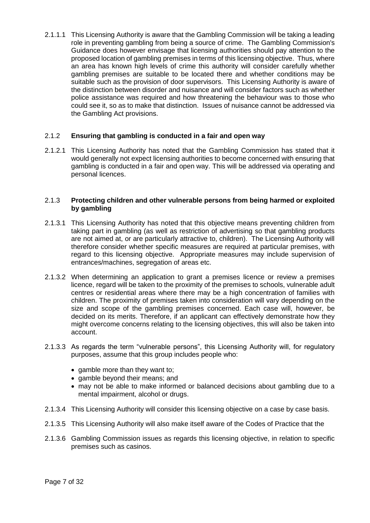2.1.1.1 This Licensing Authority is aware that the Gambling Commission will be taking a leading role in preventing gambling from being a source of crime. The Gambling Commission's Guidance does however envisage that licensing authorities should pay attention to the proposed location of gambling premises in terms of this licensing objective. Thus, where an area has known high levels of crime this authority will consider carefully whether gambling premises are suitable to be located there and whether conditions may be suitable such as the provision of door supervisors. This Licensing Authority is aware of the distinction between disorder and nuisance and will consider factors such as whether police assistance was required and how threatening the behaviour was to those who could see it, so as to make that distinction. Issues of nuisance cannot be addressed via the Gambling Act provisions.

## 2.1.2 **Ensuring that gambling is conducted in a fair and open way**

2.1.2.1 This Licensing Authority has noted that the Gambling Commission has stated that it would generally not expect licensing authorities to become concerned with ensuring that gambling is conducted in a fair and open way. This will be addressed via operating and personal licences.

#### 2.1.3 **Protecting children and other vulnerable persons from being harmed or exploited by gambling**

- 2.1.3.1 This Licensing Authority has noted that this objective means preventing children from taking part in gambling (as well as restriction of advertising so that gambling products are not aimed at, or are particularly attractive to, children). The Licensing Authority will therefore consider whether specific measures are required at particular premises, with regard to this licensing objective. Appropriate measures may include supervision of entrances/machines, segregation of areas etc.
- 2.1.3.2 When determining an application to grant a premises licence or review a premises licence, regard will be taken to the proximity of the premises to schools, vulnerable adult centres or residential areas where there may be a high concentration of families with children. The proximity of premises taken into consideration will vary depending on the size and scope of the gambling premises concerned. Each case will, however, be decided on its merits. Therefore, if an applicant can effectively demonstrate how they might overcome concerns relating to the licensing objectives, this will also be taken into account.
- 2.1.3.3 As regards the term "vulnerable persons", this Licensing Authority will, for regulatory purposes, assume that this group includes people who:
	- gamble more than they want to;
	- gamble beyond their means; and
	- may not be able to make informed or balanced decisions about gambling due to a mental impairment, alcohol or drugs.
- 2.1.3.4 This Licensing Authority will consider this licensing objective on a case by case basis.
- 2.1.3.5 This Licensing Authority will also make itself aware of the Codes of Practice that the
- 2.1.3.6 Gambling Commission issues as regards this licensing objective, in relation to specific premises such as casinos.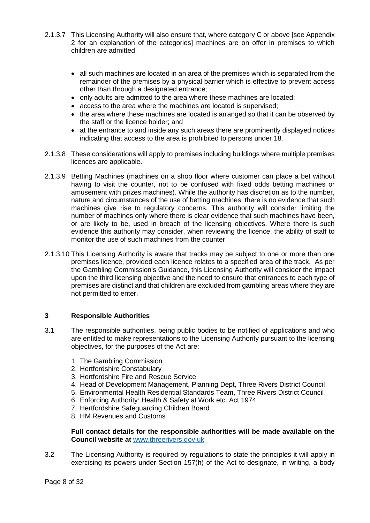- 2.1.3.7 This Licensing Authority will also ensure that, where category C or above [see Appendix 2 for an explanation of the categories] machines are on offer in premises to which children are admitted:
	- all such machines are located in an area of the premises which is separated from the remainder of the premises by a physical barrier which is effective to prevent access other than through a designated entrance;
	- only adults are admitted to the area where these machines are located;
	- access to the area where the machines are located is supervised;
	- the area where these machines are located is arranged so that it can be observed by the staff or the licence holder; and
	- at the entrance to and inside any such areas there are prominently displayed notices indicating that access to the area is prohibited to persons under 18.
- 2.1.3.8 These considerations will apply to premises including buildings where multiple premises licences are applicable.
- 2.1.3.9 Betting Machines (machines on a shop floor where customer can place a bet without having to visit the counter, not to be confused with fixed odds betting machines or amusement with prizes machines). While the authority has discretion as to the number, nature and circumstances of the use of betting machines, there is no evidence that such machines give rise to regulatory concerns. This authority will consider limiting the number of machines only where there is clear evidence that such machines have been, or are likely to be, used in breach of the licensing objectives. Where there is such evidence this authority may consider, when reviewing the licence, the ability of staff to monitor the use of such machines from the counter.
- 2.1.3.10 This Licensing Authority is aware that tracks may be subject to one or more than one premises licence, provided each licence relates to a specified area of the track. As per the Gambling Commission's Guidance, this Licensing Authority will consider the impact upon the third licensing objective and the need to ensure that entrances to each type of premises are distinct and that children are excluded from gambling areas where they are not permitted to enter.

## <span id="page-7-0"></span>**3 Responsible Authorities**

- 3.1 The responsible authorities, being public bodies to be notified of applications and who are entitled to make representations to the Licensing Authority pursuant to the licensing objectives, for the purposes of the Act are:
	- 1. The Gambling Commission
	- 2. Hertfordshire Constabulary
	- 3. Hertfordshire Fire and Rescue Service
	- 4. Head of Development Management, Planning Dept, Three Rivers District Council
	- 5. Environmental Health Residential Standards Team, Three Rivers District Council
	- 6. Enforcing Authority: Health & Safety at Work etc. Act 1974
	- 7. Hertfordshire Safeguarding Children Board
	- 8. HM Revenues and Customs

**Full contact details for the responsible authorities will be made available on the Council website at** [www.threerivers.gov.uk](http://www.threerivers.gov.uk/)

3.2 The Licensing Authority is required by regulations to state the principles it will apply in exercising its powers under Section 157(h) of the Act to designate, in writing, a body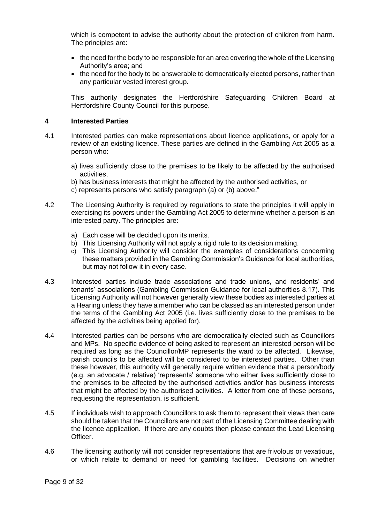which is competent to advise the authority about the protection of children from harm. The principles are:

- the need for the body to be responsible for an area covering the whole of the Licensing Authority's area; and
- the need for the body to be answerable to democratically elected persons, rather than any particular vested interest group.

This authority designates the Hertfordshire Safeguarding Children Board at Hertfordshire County Council for this purpose.

#### <span id="page-8-0"></span>**4 Interested Parties**

- 4.1 Interested parties can make representations about licence applications, or apply for a review of an existing licence. These parties are defined in the Gambling Act 2005 as a person who:
	- a) lives sufficiently close to the premises to be likely to be affected by the authorised activities,
	- b) has business interests that might be affected by the authorised activities, or
	- c) represents persons who satisfy paragraph (a) or (b) above."
- 4.2 The Licensing Authority is required by regulations to state the principles it will apply in exercising its powers under the Gambling Act 2005 to determine whether a person is an interested party. The principles are:
	- a) Each case will be decided upon its merits.
	- b) This Licensing Authority will not apply a rigid rule to its decision making.
	- c) This Licensing Authority will consider the examples of considerations concerning these matters provided in the Gambling Commission's Guidance for local authorities, but may not follow it in every case.
- 4.3 Interested parties include trade associations and trade unions, and residents' and tenants' associations (Gambling Commission Guidance for local authorities 8.17). This Licensing Authority will not however generally view these bodies as interested parties at a Hearing unless they have a member who can be classed as an interested person under the terms of the Gambling Act 2005 (i.e. lives sufficiently close to the premises to be affected by the activities being applied for).
- 4.4 Interested parties can be persons who are democratically elected such as Councillors and MPs. No specific evidence of being asked to represent an interested person will be required as long as the Councillor/MP represents the ward to be affected. Likewise, parish councils to be affected will be considered to be interested parties. Other than these however, this authority will generally require written evidence that a person/body (e.g. an advocate / relative) 'represents' someone who either lives sufficiently close to the premises to be affected by the authorised activities and/or has business interests that might be affected by the authorised activities. A letter from one of these persons, requesting the representation, is sufficient.
- 4.5 If individuals wish to approach Councillors to ask them to represent their views then care should be taken that the Councillors are not part of the Licensing Committee dealing with the licence application. If there are any doubts then please contact the Lead Licensing Officer.
- 4.6 The licensing authority will not consider representations that are frivolous or vexatious, or which relate to demand or need for gambling facilities. Decisions on whether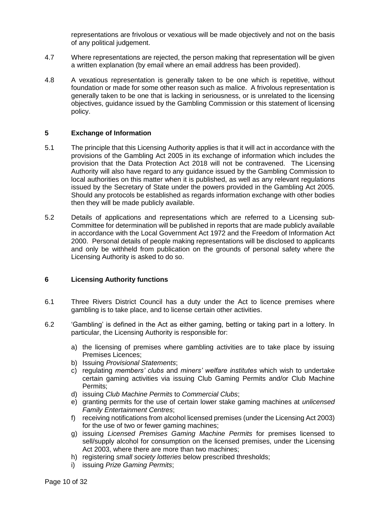representations are frivolous or vexatious will be made objectively and not on the basis of any political judgement.

- 4.7 Where representations are rejected, the person making that representation will be given a written explanation (by email where an email address has been provided).
- 4.8 A vexatious representation is generally taken to be one which is repetitive, without foundation or made for some other reason such as malice. A frivolous representation is generally taken to be one that is lacking in seriousness, or is unrelated to the licensing objectives, guidance issued by the Gambling Commission or this statement of licensing policy.

## <span id="page-9-0"></span>**5 Exchange of Information**

- 5.1 The principle that this Licensing Authority applies is that it will act in accordance with the provisions of the Gambling Act 2005 in its exchange of information which includes the provision that the Data Protection Act 2018 will not be contravened. The Licensing Authority will also have regard to any guidance issued by the Gambling Commission to local authorities on this matter when it is published, as well as any relevant regulations issued by the Secretary of State under the powers provided in the Gambling Act 2005. Should any protocols be established as regards information exchange with other bodies then they will be made publicly available.
- 5.2 Details of applications and representations which are referred to a Licensing sub-Committee for determination will be published in reports that are made publicly available in accordance with the Local Government Act 1972 and the Freedom of Information Act 2000. Personal details of people making representations will be disclosed to applicants and only be withheld from publication on the grounds of personal safety where the Licensing Authority is asked to do so.

## <span id="page-9-1"></span>**6 Licensing Authority functions**

- 6.1 Three Rivers District Council has a duty under the Act to licence premises where gambling is to take place, and to license certain other activities.
- 6.2 'Gambling' is defined in the Act as either gaming, betting or taking part in a lottery. In particular, the Licensing Authority is responsible for:
	- a) the licensing of premises where gambling activities are to take place by issuing Premises Licences;
	- b) Issuing *Provisional Statements*;
	- c) regulating *members' clubs* and *miners' welfare institutes* which wish to undertake certain gaming activities via issuing Club Gaming Permits and/or Club Machine Permits;
	- d) issuing *Club Machine Permits* to *Commercial Clubs*;
	- e) granting permits for the use of certain lower stake gaming machines at *unlicensed Family Entertainment Centres*;
	- f) receiving notifications from alcohol licensed premises (under the Licensing Act 2003) for the use of two or fewer gaming machines;
	- g) issuing *Licensed Premises Gaming Machine Permits* for premises licensed to sell/supply alcohol for consumption on the licensed premises, under the Licensing Act 2003, where there are more than two machines;
	- h) registering *small society lotteries* below prescribed thresholds;
	- i) issuing *Prize Gaming Permits*;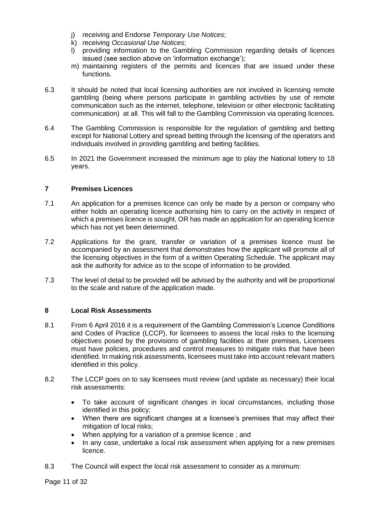- j) receiving and Endorse *Temporary Use Notices*;
- k) receiving *Occasional Use Notices*;
- l) providing information to the Gambling Commission regarding details of licences issued (see section above on 'information exchange');
- m) maintaining registers of the permits and licences that are issued under these functions.
- 6.3 It should be noted that local licensing authorities are not involved in licensing remote gambling (being where persons participate in gambling activities by use of remote communication such as the internet, telephone, television or other electronic facilitating communication) at all. This will fall to the Gambling Commission via operating licences.
- 6.4 The Gambling Commission is responsible for the regulation of gambling and betting except for National Lottery and spread betting through the licensing of the operators and individuals involved in providing gambling and betting facilities.
- 6.5 In 2021 the Government increased the minimum age to play the National lottery to 18 years.

## <span id="page-10-0"></span>**7 Premises Licences**

- 7.1 An application for a premises licence can only be made by a person or company who either holds an operating licence authorising him to carry on the activity in respect of which a premises licence is sought, OR has made an application for an operating licence which has not yet been determined.
- 7.2 Applications for the grant, transfer or variation of a premises licence must be accompanied by an assessment that demonstrates how the applicant will promote all of the licensing objectives in the form of a written Operating Schedule. The applicant may ask the authority for advice as to the scope of information to be provided.
- 7.3 The level of detail to be provided will be advised by the authority and will be proportional to the scale and nature of the application made.

## <span id="page-10-1"></span>**8 Local Risk Assessments**

- 8.1 From 6 April 2016 it is a requirement of the Gambling Commission's Licence Conditions and Codes of Practice (LCCP), for licensees to assess the local risks to the licensing objectives posed by the provisions of gambling facilities at their premises, Licensees must have policies, procedures and control measures to mitigate risks that have been identified. In making risk assessments, licensees must take into account relevant matters identified in this policy.
- 8.2 The LCCP goes on to say licensees must review (and update as necessary) their local risk assessments:
	- To take account of significant changes in local circumstances, including those identified in this policy;
	- When there are significant changes at a licensee's premises that may affect their mitigation of local risks;
	- When applying for a variation of a premise licence ; and
	- In any case, undertake a local risk assessment when applying for a new premises licence.
- 8.3 The Council will expect the local risk assessment to consider as a minimum: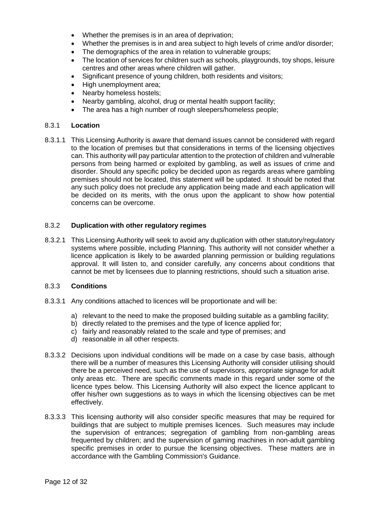- Whether the premises is in an area of deprivation;
- Whether the premises is in and area subject to high levels of crime and/or disorder;
- The demographics of the area in relation to vulnerable groups;
- The location of services for children such as schools, playgrounds, toy shops, leisure centres and other areas where children will gather.
- Significant presence of young children, both residents and visitors;
- High unemployment area;
- Nearby homeless hostels;
- Nearby gambling, alcohol, drug or mental health support facility;
- The area has a high number of rough sleepers/homeless people;

## <span id="page-11-0"></span>8.3.1 **Location**

8.3.1.1 This Licensing Authority is aware that demand issues cannot be considered with regard to the location of premises but that considerations in terms of the licensing objectives can. This authority will pay particular attention to the protection of children and vulnerable persons from being harmed or exploited by gambling, as well as issues of crime and disorder. Should any specific policy be decided upon as regards areas where gambling premises should not be located, this statement will be updated. It should be noted that any such policy does not preclude any application being made and each application will be decided on its merits, with the onus upon the applicant to show how potential concerns can be overcome.

## <span id="page-11-1"></span>8.3.2 **Duplication with other regulatory regimes**

8.3.2.1 This Licensing Authority will seek to avoid any duplication with other statutory/regulatory systems where possible, including Planning. This authority will not consider whether a licence application is likely to be awarded planning permission or building regulations approval. It will listen to, and consider carefully, any concerns about conditions that cannot be met by licensees due to planning restrictions, should such a situation arise.

#### <span id="page-11-2"></span>8.3.3 **Conditions**

- 8.3.3.1 Any conditions attached to licences will be proportionate and will be:
	- a) relevant to the need to make the proposed building suitable as a gambling facility;
	- b) directly related to the premises and the type of licence applied for;
	- c) fairly and reasonably related to the scale and type of premises; and
	- d) reasonable in all other respects.
- 8.3.3.2 Decisions upon individual conditions will be made on a case by case basis, although there will be a number of measures this Licensing Authority will consider utilising should there be a perceived need, such as the use of supervisors, appropriate signage for adult only areas etc. There are specific comments made in this regard under some of the licence types below. This Licensing Authority will also expect the licence applicant to offer his/her own suggestions as to ways in which the licensing objectives can be met effectively.
- 8.3.3.3 This licensing authority will also consider specific measures that may be required for buildings that are subject to multiple premises licences. Such measures may include the supervision of entrances; segregation of gambling from non-gambling areas frequented by children; and the supervision of gaming machines in non-adult gambling specific premises in order to pursue the licensing objectives. These matters are in accordance with the Gambling Commission's Guidance.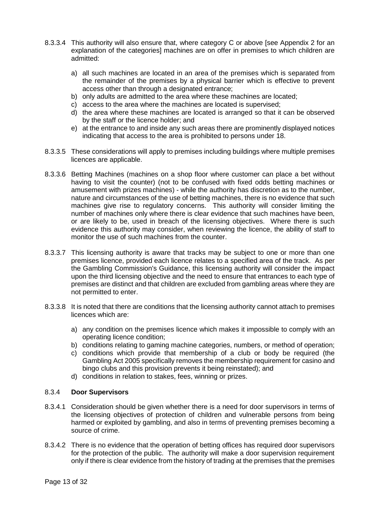- 8.3.3.4 This authority will also ensure that, where category C or above [see Appendix 2 for an explanation of the categories] machines are on offer in premises to which children are admitted:
	- a) all such machines are located in an area of the premises which is separated from the remainder of the premises by a physical barrier which is effective to prevent access other than through a designated entrance;
	- b) only adults are admitted to the area where these machines are located;
	- c) access to the area where the machines are located is supervised;
	- d) the area where these machines are located is arranged so that it can be observed by the staff or the licence holder; and
	- e) at the entrance to and inside any such areas there are prominently displayed notices indicating that access to the area is prohibited to persons under 18.
- 8.3.3.5 These considerations will apply to premises including buildings where multiple premises licences are applicable.
- 8.3.3.6 Betting Machines (machines on a shop floor where customer can place a bet without having to visit the counter) (not to be confused with fixed odds betting machines or amusement with prizes machines) - while the authority has discretion as to the number, nature and circumstances of the use of betting machines, there is no evidence that such machines give rise to regulatory concerns. This authority will consider limiting the number of machines only where there is clear evidence that such machines have been, or are likely to be, used in breach of the licensing objectives. Where there is such evidence this authority may consider, when reviewing the licence, the ability of staff to monitor the use of such machines from the counter.
- 8.3.3.7 This licensing authority is aware that tracks may be subject to one or more than one premises licence, provided each licence relates to a specified area of the track. As per the Gambling Commission's Guidance, this licensing authority will consider the impact upon the third licensing objective and the need to ensure that entrances to each type of premises are distinct and that children are excluded from gambling areas where they are not permitted to enter.
- 8.3.3.8 It is noted that there are conditions that the licensing authority cannot attach to premises licences which are:
	- a) any condition on the premises licence which makes it impossible to comply with an operating licence condition;
	- b) conditions relating to gaming machine categories, numbers, or method of operation;
	- c) conditions which provide that membership of a club or body be required (the Gambling Act 2005 specifically removes the membership requirement for casino and bingo clubs and this provision prevents it being reinstated); and
	- d) conditions in relation to stakes, fees, winning or prizes.

#### <span id="page-12-0"></span>8.3.4 **Door Supervisors**

- 8.3.4.1 Consideration should be given whether there is a need for door supervisors in terms of the licensing objectives of protection of children and vulnerable persons from being harmed or exploited by gambling, and also in terms of preventing premises becoming a source of crime.
- 8.3.4.2 There is no evidence that the operation of betting offices has required door supervisors for the protection of the public. The authority will make a door supervision requirement only if there is clear evidence from the history of trading at the premises that the premises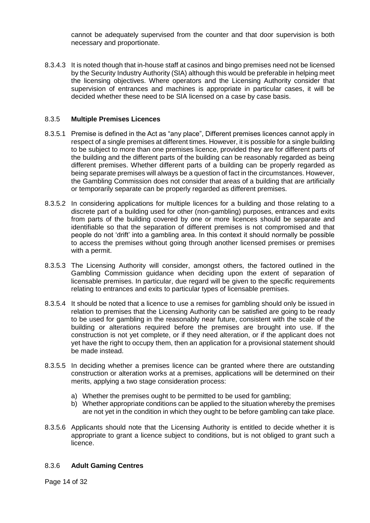cannot be adequately supervised from the counter and that door supervision is both necessary and proportionate.

8.3.4.3 It is noted though that in-house staff at casinos and bingo premises need not be licensed by the Security Industry Authority (SIA) although this would be preferable in helping meet the licensing objectives. Where operators and the Licensing Authority consider that supervision of entrances and machines is appropriate in particular cases, it will be decided whether these need to be SIA licensed on a case by case basis.

## <span id="page-13-0"></span>8.3.5 **Multiple Premises Licences**

- 8.3.5.1 Premise is defined in the Act as "any place", Different premises licences cannot apply in respect of a single premises at different times. However, it is possible for a single building to be subject to more than one premises licence, provided they are for different parts of the building and the different parts of the building can be reasonably regarded as being different premises. Whether different parts of a building can be properly regarded as being separate premises will always be a question of fact in the circumstances. However, the Gambling Commission does not consider that areas of a building that are artificially or temporarily separate can be properly regarded as different premises.
- 8.3.5.2 In considering applications for multiple licences for a building and those relating to a discrete part of a building used for other (non-gambling) purposes, entrances and exits from parts of the building covered by one or more licences should be separate and identifiable so that the separation of different premises is not compromised and that people do not 'drift' into a gambling area. In this context it should normally be possible to access the premises without going through another licensed premises or premises with a permit.
- 8.3.5.3 The Licensing Authority will consider, amongst others, the factored outlined in the Gambling Commission guidance when deciding upon the extent of separation of licensable premises. In particular, due regard will be given to the specific requirements relating to entrances and exits to particular types of licensable premises.
- 8.3.5.4 It should be noted that a licence to use a remises for gambling should only be issued in relation to premises that the Licensing Authority can be satisfied are going to be ready to be used for gambling in the reasonably near future, consistent with the scale of the building or alterations required before the premises are brought into use. If the construction is not yet complete, or if they need alteration, or if the applicant does not yet have the right to occupy them, then an application for a provisional statement should be made instead.
- 8.3.5.5 In deciding whether a premises licence can be granted where there are outstanding construction or alteration works at a premises, applications will be determined on their merits, applying a two stage consideration process:
	- a) Whether the premises ought to be permitted to be used for gambling;
	- b) Whether appropriate conditions can be applied to the situation whereby the premises are not yet in the condition in which they ought to be before gambling can take place.
- 8.3.5.6 Applicants should note that the Licensing Authority is entitled to decide whether it is appropriate to grant a licence subject to conditions, but is not obliged to grant such a licence.

#### <span id="page-13-1"></span>8.3.6 **Adult Gaming Centres**

Page 14 of 32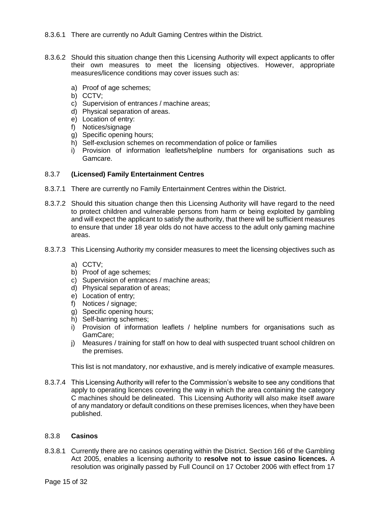## 8.3.6.1 There are currently no Adult Gaming Centres within the District.

- 8.3.6.2 Should this situation change then this Licensing Authority will expect applicants to offer their own measures to meet the licensing objectives. However, appropriate measures/licence conditions may cover issues such as:
	- a) Proof of age schemes;
	- b) CCTV;
	- c) Supervision of entrances / machine areas;
	- d) Physical separation of areas.
	- e) Location of entry:
	- f) Notices/signage
	- g) Specific opening hours;
	- h) Self-exclusion schemes on recommendation of police or families
	- i) Provision of information leaflets/helpline numbers for organisations such as Gamcare.

## <span id="page-14-0"></span>8.3.7 **(Licensed) Family Entertainment Centres**

- 8.3.7.1 There are currently no Family Entertainment Centres within the District.
- 8.3.7.2 Should this situation change then this Licensing Authority will have regard to the need to protect children and vulnerable persons from harm or being exploited by gambling and will expect the applicant to satisfy the authority, that there will be sufficient measures to ensure that under 18 year olds do not have access to the adult only gaming machine areas.
- 8.3.7.3 This Licensing Authority my consider measures to meet the licensing objectives such as
	- a) CCTV;
	- b) Proof of age schemes;
	- c) Supervision of entrances / machine areas;
	- d) Physical separation of areas;
	- e) Location of entry;
	- f) Notices / signage:
	- g) Specific opening hours;
	- h) Self-barring schemes;
	- i) Provision of information leaflets / helpline numbers for organisations such as GamCare;
	- j) Measures / training for staff on how to deal with suspected truant school children on the premises.

This list is not mandatory, nor exhaustive, and is merely indicative of example measures.

8.3.7.4 This Licensing Authority will refer to the Commission's website to see any conditions that apply to operating licences covering the way in which the area containing the category C machines should be delineated. This Licensing Authority will also make itself aware of any mandatory or default conditions on these premises licences, when they have been published.

## <span id="page-14-1"></span>8.3.8 **Casinos**

8.3.8.1 Currently there are no casinos operating within the District. Section 166 of the Gambling Act 2005, enables a licensing authority to **resolve not to issue casino licences.** A resolution was originally passed by Full Council on 17 October 2006 with effect from 17

Page 15 of 32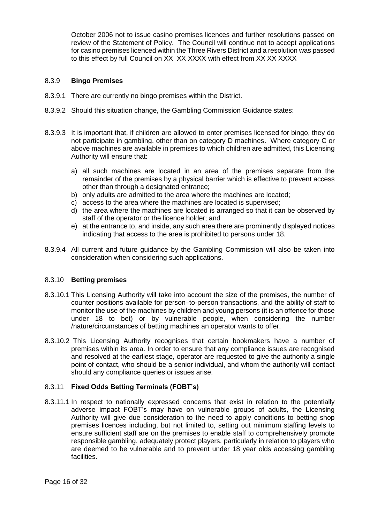October 2006 not to issue casino premises licences and further resolutions passed on review of the Statement of Policy. The Council will continue not to accept applications for casino premises licenced within the Three Rivers District and a resolution was passed to this effect by full Council on XX XX XXXX with effect from XX XX XXXX

## <span id="page-15-0"></span>8.3.9 **Bingo Premises**

- 8.3.9.1 There are currently no bingo premises within the District.
- 8.3.9.2 Should this situation change, the Gambling Commission Guidance states:
- 8.3.9.3 It is important that, if children are allowed to enter premises licensed for bingo, they do not participate in gambling, other than on category D machines. Where category C or above machines are available in premises to which children are admitted, this Licensing Authority will ensure that:
	- a) all such machines are located in an area of the premises separate from the remainder of the premises by a physical barrier which is effective to prevent access other than through a designated entrance;
	- b) only adults are admitted to the area where the machines are located;
	- c) access to the area where the machines are located is supervised;
	- d) the area where the machines are located is arranged so that it can be observed by staff of the operator or the licence holder; and
	- e) at the entrance to, and inside, any such area there are prominently displayed notices indicating that access to the area is prohibited to persons under 18.
- 8.3.9.4 All current and future guidance by the Gambling Commission will also be taken into consideration when considering such applications.

#### 8.3.10 **Betting premises**

- 8.3.10.1 This Licensing Authority will take into account the size of the premises, the number of counter positions available for person–to-person transactions, and the ability of staff to monitor the use of the machines by children and young persons (it is an offence for those under 18 to bet) or by vulnerable people, when considering the number /nature/circumstances of betting machines an operator wants to offer.
- 8.3.10.2 This Licensing Authority recognises that certain bookmakers have a number of premises within its area. In order to ensure that any compliance issues are recognised and resolved at the earliest stage, operator are requested to give the authority a single point of contact, who should be a senior individual, and whom the authority will contact should any compliance queries or issues arise.

## <span id="page-15-1"></span>8.3.11 **Fixed Odds Betting Terminals (FOBT's)**

8.3.11.1 In respect to nationally expressed concerns that exist in relation to the potentially adverse impact FOBT's may have on vulnerable groups of adults, the Licensing Authority will give due consideration to the need to apply conditions to betting shop premises licences including, but not limited to, setting out minimum staffing levels to ensure sufficient staff are on the premises to enable staff to comprehensively promote responsible gambling, adequately protect players, particularly in relation to players who are deemed to be vulnerable and to prevent under 18 year olds accessing gambling facilities.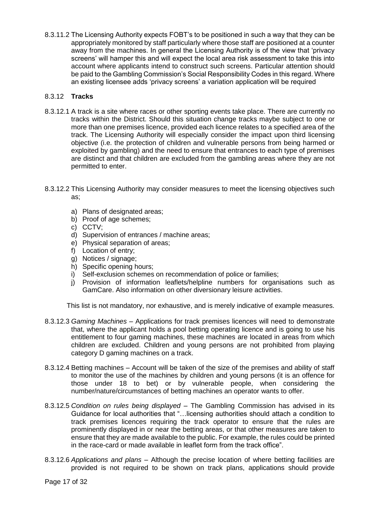8.3.11.2 The Licensing Authority expects FOBT's to be positioned in such a way that they can be appropriately monitored by staff particularly where those staff are positioned at a counter away from the machines. In general the Licensing Authority is of the view that 'privacy screens' will hamper this and will expect the local area risk assessment to take this into account where applicants intend to construct such screens. Particular attention should be paid to the Gambling Commission's Social Responsibility Codes in this regard. Where an existing licensee adds 'privacy screens' a variation application will be required

## <span id="page-16-0"></span>8.3.12 **Tracks**

- 8.3.12.1 A track is a site where races or other sporting events take place. There are currently no tracks within the District. Should this situation change tracks maybe subject to one or more than one premises licence, provided each licence relates to a specified area of the track. The Licensing Authority will especially consider the impact upon third licensing objective (i.e. the protection of children and vulnerable persons from being harmed or exploited by gambling) and the need to ensure that entrances to each type of premises are distinct and that children are excluded from the gambling areas where they are not permitted to enter.
- 8.3.12.2 This Licensing Authority may consider measures to meet the licensing objectives such as;
	- a) Plans of designated areas;
	- b) Proof of age schemes;
	- c) CCTV;
	- d) Supervision of entrances / machine areas;
	- e) Physical separation of areas;
	- f) Location of entry;
	- g) Notices / signage;
	- h) Specific opening hours;
	- i) Self-exclusion schemes on recommendation of police or families;
	- j) Provision of information leaflets/helpline numbers for organisations such as GamCare. Also information on other diversionary leisure activities.

This list is not mandatory, nor exhaustive, and is merely indicative of example measures.

- 8.3.12.3 *Gaming Machines –* Applications for track premises licences will need to demonstrate that, where the applicant holds a pool betting operating licence and is going to use his entitlement to four gaming machines, these machines are located in areas from which children are excluded. Children and young persons are not prohibited from playing category D gaming machines on a track.
- 8.3.12.4 Betting machines Account will be taken of the size of the premises and ability of staff to monitor the use of the machines by children and young persons (it is an offence for those under 18 to bet) or by vulnerable people, when considering the number/nature/circumstances of betting machines an operator wants to offer.
- 8.3.12.5 *Condition on rules being displayed* The Gambling Commission has advised in its Guidance for local authorities that "…licensing authorities should attach a condition to track premises licences requiring the track operator to ensure that the rules are prominently displayed in or near the betting areas, or that other measures are taken to ensure that they are made available to the public. For example, the rules could be printed in the race-card or made available in leaflet form from the track office".
- 8.3.12.6 *Applications and plans –* Although the precise location of where betting facilities are provided is not required to be shown on track plans, applications should provide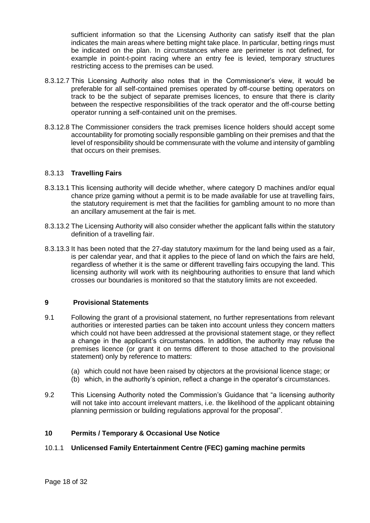sufficient information so that the Licensing Authority can satisfy itself that the plan indicates the main areas where betting might take place. In particular, betting rings must be indicated on the plan. In circumstances where are perimeter is not defined, for example in point-t-point racing where an entry fee is levied, temporary structures restricting access to the premises can be used.

- 8.3.12.7 This Licensing Authority also notes that in the Commissioner's view, it would be preferable for all self-contained premises operated by off-course betting operators on track to be the subject of separate premises licences, to ensure that there is clarity between the respective responsibilities of the track operator and the off-course betting operator running a self-contained unit on the premises.
- 8.3.12.8 The Commissioner considers the track premises licence holders should accept some accountability for promoting socially responsible gambling on their premises and that the level of responsibility should be commensurate with the volume and intensity of gambling that occurs on their premises.

## <span id="page-17-0"></span>8.3.13 **Travelling Fairs**

- 8.3.13.1 This licensing authority will decide whether, where category D machines and/or equal chance prize gaming without a permit is to be made available for use at travelling fairs, the statutory requirement is met that the facilities for gambling amount to no more than an ancillary amusement at the fair is met.
- 8.3.13.2 The Licensing Authority will also consider whether the applicant falls within the statutory definition of a travelling fair.
- 8.3.13.3 It has been noted that the 27-day statutory maximum for the land being used as a fair, is per calendar year, and that it applies to the piece of land on which the fairs are held, regardless of whether it is the same or different travelling fairs occupying the land. This licensing authority will work with its neighbouring authorities to ensure that land which crosses our boundaries is monitored so that the statutory limits are not exceeded.

## <span id="page-17-1"></span>**9 Provisional Statements**

- 9.1 Following the grant of a provisional statement, no further representations from relevant authorities or interested parties can be taken into account unless they concern matters which could not have been addressed at the provisional statement stage, or they reflect a change in the applicant's circumstances. In addition, the authority may refuse the premises licence (or grant it on terms different to those attached to the provisional statement) only by reference to matters:
	- (a) which could not have been raised by objectors at the provisional licence stage; or
	- (b) which, in the authority's opinion, reflect a change in the operator's circumstances.
- 9.2 This Licensing Authority noted the Commission's Guidance that "a licensing authority will not take into account irrelevant matters, i.e. the likelihood of the applicant obtaining planning permission or building regulations approval for the proposal".

## **10 Permits / Temporary & Occasional Use Notice**

## <span id="page-17-2"></span>10.1.1 **Unlicensed Family Entertainment Centre (FEC) gaming machine permits**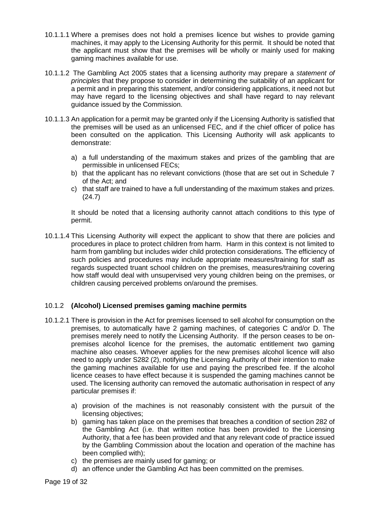- 10.1.1.1 Where a premises does not hold a premises licence but wishes to provide gaming machines, it may apply to the Licensing Authority for this permit. It should be noted that the applicant must show that the premises will be wholly or mainly used for making gaming machines available for use.
- 10.1.1.2 The Gambling Act 2005 states that a licensing authority may prepare a *statement of principles* that they propose to consider in determining the suitability of an applicant for a permit and in preparing this statement, and/or considering applications, it need not but may have regard to the licensing objectives and shall have regard to nay relevant guidance issued by the Commission.
- 10.1.1.3 An application for a permit may be granted only if the Licensing Authority is satisfied that the premises will be used as an unlicensed FEC, and if the chief officer of police has been consulted on the application. This Licensing Authority will ask applicants to demonstrate:
	- a) a full understanding of the maximum stakes and prizes of the gambling that are permissible in unlicensed FECs;
	- b) that the applicant has no relevant convictions (those that are set out in Schedule 7 of the Act; and
	- c) that staff are trained to have a full understanding of the maximum stakes and prizes. (24.7)

It should be noted that a licensing authority cannot attach conditions to this type of permit.

10.1.1.4 This Licensing Authority will expect the applicant to show that there are policies and procedures in place to protect children from harm. Harm in this context is not limited to harm from gambling but includes wider child protection considerations. The efficiency of such policies and procedures may include appropriate measures/training for staff as regards suspected truant school children on the premises, measures/training covering how staff would deal with unsupervised very young children being on the premises, or children causing perceived problems on/around the premises.

## 10.1.2 **(Alcohol) Licensed premises gaming machine permits**

- 10.1.2.1 There is provision in the Act for premises licensed to sell alcohol for consumption on the premises, to automatically have 2 gaming machines, of categories C and/or D. The premises merely need to notify the Licensing Authority. If the person ceases to be onpremises alcohol licence for the premises, the automatic entitlement two gaming machine also ceases. Whoever applies for the new premises alcohol licence will also need to apply under S282 (2), notifying the Licensing Authority of their intention to make the gaming machines available for use and paying the prescribed fee. If the alcohol licence ceases to have effect because it is suspended the gaming machines cannot be used. The licensing authority can removed the automatic authorisation in respect of any particular premises if:
	- a) provision of the machines is not reasonably consistent with the pursuit of the licensing objectives;
	- b) gaming has taken place on the premises that breaches a condition of section 282 of the Gambling Act (i.e. that written notice has been provided to the Licensing Authority, that a fee has been provided and that any relevant code of practice issued by the Gambling Commission about the location and operation of the machine has been complied with);
	- c) the premises are mainly used for gaming; or
	- d) an offence under the Gambling Act has been committed on the premises.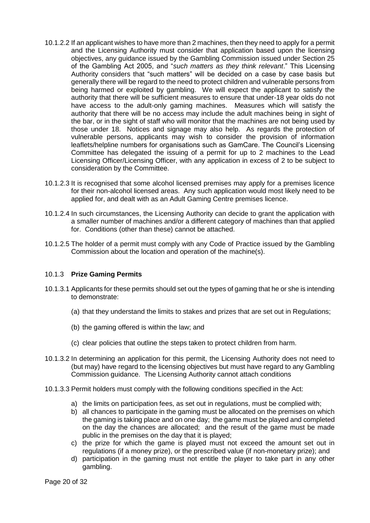- 10.1.2.2 If an applicant wishes to have more than 2 machines, then they need to apply for a permit and the Licensing Authority must consider that application based upon the licensing objectives, any guidance issued by the Gambling Commission issued under Section 25 of the Gambling Act 2005, and "*such matters as they think relevant*." This Licensing Authority considers that "such matters" will be decided on a case by case basis but generally there will be regard to the need to protect children and vulnerable persons from being harmed or exploited by gambling. We will expect the applicant to satisfy the authority that there will be sufficient measures to ensure that under-18 year olds do not have access to the adult-only gaming machines. Measures which will satisfy the authority that there will be no access may include the adult machines being in sight of the bar, or in the sight of staff who will monitor that the machines are not being used by those under 18. Notices and signage may also help. As regards the protection of vulnerable persons, applicants may wish to consider the provision of information leaflets/helpline numbers for organisations such as GamCare. The Council's Licensing Committee has delegated the issuing of a permit for up to 2 machines to the Lead Licensing Officer/Licensing Officer, with any application in excess of 2 to be subject to consideration by the Committee.
- 10.1.2.3 It is recognised that some alcohol licensed premises may apply for a premises licence for their non-alcohol licensed areas. Any such application would most likely need to be applied for, and dealt with as an Adult Gaming Centre premises licence.
- 10.1.2.4 In such circumstances, the Licensing Authority can decide to grant the application with a smaller number of machines and/or a different category of machines than that applied for. Conditions (other than these) cannot be attached.
- 10.1.2.5 The holder of a permit must comply with any Code of Practice issued by the Gambling Commission about the location and operation of the machine(s).

#### <span id="page-19-0"></span>10.1.3 **Prize Gaming Permits**

- 10.1.3.1 Applicants for these permits should set out the types of gaming that he or she is intending to demonstrate:
	- (a) that they understand the limits to stakes and prizes that are set out in Regulations;
	- (b) the gaming offered is within the law; and
	- (c) clear policies that outline the steps taken to protect children from harm.
- 10.1.3.2 In determining an application for this permit, the Licensing Authority does not need to (but may) have regard to the licensing objectives but must have regard to any Gambling Commission guidance. The Licensing Authority cannot attach conditions
- 10.1.3.3 Permit holders must comply with the following conditions specified in the Act:
	- a) the limits on participation fees, as set out in regulations, must be complied with;
	- b) all chances to participate in the gaming must be allocated on the premises on which the gaming is taking place and on one day; the game must be played and completed on the day the chances are allocated; and the result of the game must be made public in the premises on the day that it is played;
	- c) the prize for which the game is played must not exceed the amount set out in regulations (if a money prize), or the prescribed value (if non-monetary prize); and
	- d) participation in the gaming must not entitle the player to take part in any other gambling.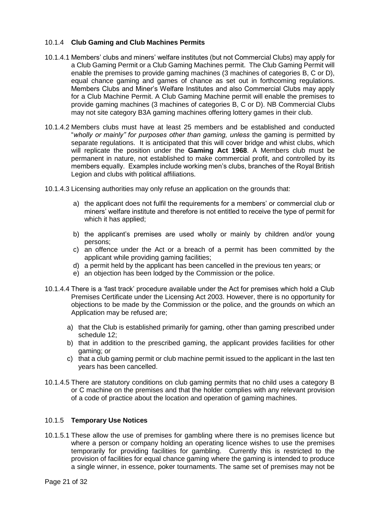## <span id="page-20-0"></span>10.1.4 **Club Gaming and Club Machines Permits**

- 10.1.4.1 Members' clubs and miners' welfare institutes (but not Commercial Clubs) may apply for a Club Gaming Permit or a Club Gaming Machines permit. The Club Gaming Permit will enable the premises to provide gaming machines (3 machines of categories B, C or D), equal chance gaming and games of chance as set out in forthcoming regulations. Members Clubs and Miner's Welfare Institutes and also Commercial Clubs may apply for a Club Machine Permit. A Club Gaming Machine permit will enable the premises to provide gaming machines (3 machines of categories B, C or D). NB Commercial Clubs may not site category B3A gaming machines offering lottery games in their club.
- 10.1.4.2 Members clubs must have at least 25 members and be established and conducted "*wholly or mainly" for purposes other than gaming, unless* the gaming is permitted by separate regulations. It is anticipated that this will cover bridge and whist clubs, which will replicate the position under the **Gaming Act 1968**. A Members club must be permanent in nature, not established to make commercial profit, and controlled by its members equally. Examples include working men's clubs, branches of the Royal British Legion and clubs with political affiliations.
- 10.1.4.3 Licensing authorities may only refuse an application on the grounds that:
	- a) the applicant does not fulfil the requirements for a members' or commercial club or miners' welfare institute and therefore is not entitled to receive the type of permit for which it has applied;
	- b) the applicant's premises are used wholly or mainly by children and/or young persons;
	- c) an offence under the Act or a breach of a permit has been committed by the applicant while providing gaming facilities;
	- d) a permit held by the applicant has been cancelled in the previous ten years; or
	- e) an objection has been lodged by the Commission or the police.
- 10.1.4.4 There is a 'fast track' procedure available under the Act for premises which hold a Club Premises Certificate under the Licensing Act 2003. However, there is no opportunity for objections to be made by the Commission or the police, and the grounds on which an Application may be refused are;
	- a) that the Club is established primarily for gaming, other than gaming prescribed under schedule 12;
	- b) that in addition to the prescribed gaming, the applicant provides facilities for other gaming; or
	- c) that a club gaming permit or club machine permit issued to the applicant in the last ten years has been cancelled.
- 10.1.4.5 There are statutory conditions on club gaming permits that no child uses a category B or C machine on the premises and that the holder complies with any relevant provision of a code of practice about the location and operation of gaming machines.

#### <span id="page-20-1"></span>10.1.5 **Temporary Use Notices**

10.1.5.1 These allow the use of premises for gambling where there is no premises licence but where a person or company holding an operating licence wishes to use the premises temporarily for providing facilities for gambling. Currently this is restricted to the provision of facilities for equal chance gaming where the gaming is intended to produce a single winner, in essence, poker tournaments. The same set of premises may not be

Page 21 of 32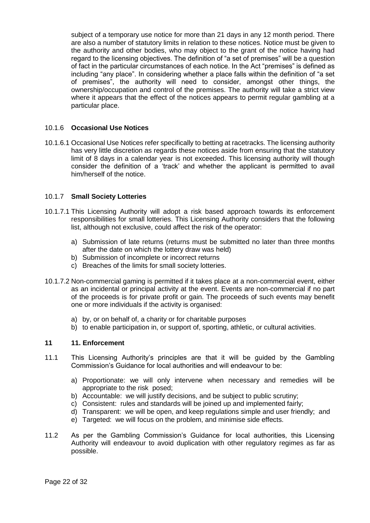subject of a temporary use notice for more than 21 days in any 12 month period. There are also a number of statutory limits in relation to these notices. Notice must be given to the authority and other bodies, who may object to the grant of the notice having had regard to the licensing objectives. The definition of "a set of premises" will be a question of fact in the particular circumstances of each notice. In the Act "premises" is defined as including "any place". In considering whether a place falls within the definition of "a set of premises", the authority will need to consider, amongst other things, the ownership/occupation and control of the premises. The authority will take a strict view where it appears that the effect of the notices appears to permit regular gambling at a particular place.

## <span id="page-21-0"></span>10.1.6 **Occasional Use Notices**

10.1.6.1 Occasional Use Notices refer specifically to betting at racetracks. The licensing authority has very little discretion as regards these notices aside from ensuring that the statutory limit of 8 days in a calendar year is not exceeded. This licensing authority will though consider the definition of a 'track' and whether the applicant is permitted to avail him/herself of the notice.

## <span id="page-21-1"></span>10.1.7 **Small Society Lotteries**

- 10.1.7.1 This Licensing Authority will adopt a risk based approach towards its enforcement responsibilities for small lotteries. This Licensing Authority considers that the following list, although not exclusive, could affect the risk of the operator:
	- a) Submission of late returns (returns must be submitted no later than three months after the date on which the lottery draw was held)
	- b) Submission of incomplete or incorrect returns
	- c) Breaches of the limits for small society lotteries.
- 10.1.7.2 Non-commercial gaming is permitted if it takes place at a non-commercial event, either as an incidental or principal activity at the event. Events are non-commercial if no part of the proceeds is for private profit or gain. The proceeds of such events may benefit one or more individuals if the activity is organised:
	- a) by, or on behalf of, a charity or for charitable purposes
	- b) to enable participation in, or support of, sporting, athletic, or cultural activities.

#### <span id="page-21-2"></span>**11 11. Enforcement**

- 11.1 This Licensing Authority's principles are that it will be guided by the Gambling Commission's Guidance for local authorities and will endeavour to be:
	- a) Proportionate: we will only intervene when necessary and remedies will be appropriate to the risk posed;
	- b) Accountable: we will justify decisions, and be subject to public scrutiny;
	- c) Consistent: rules and standards will be joined up and implemented fairly;
	- d) Transparent: we will be open, and keep regulations simple and user friendly; and
	- e) Targeted: we will focus on the problem, and minimise side effects.
- 11.2 As per the Gambling Commission's Guidance for local authorities, this Licensing Authority will endeavour to avoid duplication with other regulatory regimes as far as possible.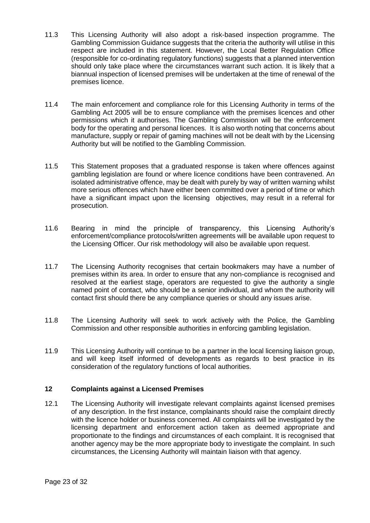- 11.3 This Licensing Authority will also adopt a risk-based inspection programme. The Gambling Commission Guidance suggests that the criteria the authority will utilise in this respect are included in this statement. However, the Local Better Regulation Office (responsible for co-ordinating regulatory functions) suggests that a planned intervention should only take place where the circumstances warrant such action. It is likely that a biannual inspection of licensed premises will be undertaken at the time of renewal of the premises licence.
- 11.4 The main enforcement and compliance role for this Licensing Authority in terms of the Gambling Act 2005 will be to ensure compliance with the premises licences and other permissions which it authorises. The Gambling Commission will be the enforcement body for the operating and personal licences. It is also worth noting that concerns about manufacture, supply or repair of gaming machines will not be dealt with by the Licensing Authority but will be notified to the Gambling Commission.
- 11.5 This Statement proposes that a graduated response is taken where offences against gambling legislation are found or where licence conditions have been contravened. An isolated administrative offence, may be dealt with purely by way of written warning whilst more serious offences which have either been committed over a period of time or which have a significant impact upon the licensing objectives, may result in a referral for prosecution.
- 11.6 Bearing in mind the principle of transparency, this Licensing Authority's enforcement/compliance protocols/written agreements will be available upon request to the Licensing Officer. Our risk methodology will also be available upon request.
- 11.7 The Licensing Authority recognises that certain bookmakers may have a number of premises within its area. In order to ensure that any non-compliance is recognised and resolved at the earliest stage, operators are requested to give the authority a single named point of contact, who should be a senior individual, and whom the authority will contact first should there be any compliance queries or should any issues arise.
- 11.8 The Licensing Authority will seek to work actively with the Police, the Gambling Commission and other responsible authorities in enforcing gambling legislation.
- 11.9 This Licensing Authority will continue to be a partner in the local licensing liaison group, and will keep itself informed of developments as regards to best practice in its consideration of the regulatory functions of local authorities.

## <span id="page-22-0"></span>**12 Complaints against a Licensed Premises**

12.1 The Licensing Authority will investigate relevant complaints against licensed premises of any description. In the first instance, complainants should raise the complaint directly with the licence holder or business concerned. All complaints will be investigated by the licensing department and enforcement action taken as deemed appropriate and proportionate to the findings and circumstances of each complaint. It is recognised that another agency may be the more appropriate body to investigate the complaint. In such circumstances, the Licensing Authority will maintain liaison with that agency.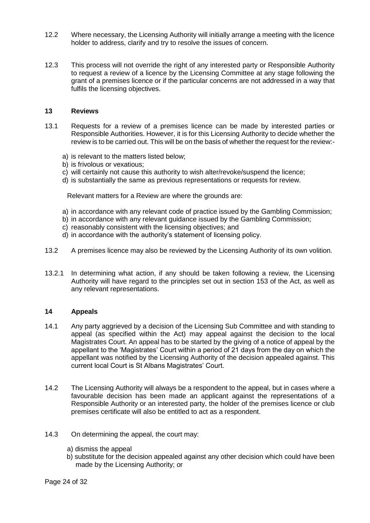- 12.2 Where necessary, the Licensing Authority will initially arrange a meeting with the licence holder to address, clarify and try to resolve the issues of concern.
- 12.3 This process will not override the right of any interested party or Responsible Authority to request a review of a licence by the Licensing Committee at any stage following the grant of a premises licence or if the particular concerns are not addressed in a way that fulfils the licensing objectives.

#### <span id="page-23-0"></span>**13 Reviews**

- 13.1 Requests for a review of a premises licence can be made by interested parties or Responsible Authorities. However, it is for this Licensing Authority to decide whether the review is to be carried out. This will be on the basis of whether the request for the review:
	- a) is relevant to the matters listed below;
	- b) is frivolous or vexatious;
	- c) will certainly not cause this authority to wish alter/revoke/suspend the licence;
	- d) is substantially the same as previous representations or requests for review.

Relevant matters for a Review are where the grounds are:

- a) in accordance with any relevant code of practice issued by the Gambling Commission;
- b) in accordance with any relevant guidance issued by the Gambling Commission;
- c) reasonably consistent with the licensing objectives; and
- d) in accordance with the authority's statement of licensing policy.
- 13.2 A premises licence may also be reviewed by the Licensing Authority of its own volition.
- 13.2.1 In determining what action, if any should be taken following a review, the Licensing Authority will have regard to the principles set out in section 153 of the Act, as well as any relevant representations.

#### <span id="page-23-1"></span>**14 Appeals**

- 14.1 Any party aggrieved by a decision of the Licensing Sub Committee and with standing to appeal (as specified within the Act) may appeal against the decision to the local Magistrates Court. An appeal has to be started by the giving of a notice of appeal by the appellant to the 'Magistrates' Court within a period of 21 days from the day on which the appellant was notified by the Licensing Authority of the decision appealed against. This current local Court is St Albans Magistrates' Court.
- 14.2 The Licensing Authority will always be a respondent to the appeal, but in cases where a favourable decision has been made an applicant against the representations of a Responsible Authority or an interested party, the holder of the premises licence or club premises certificate will also be entitled to act as a respondent.
- 14.3 On determining the appeal, the court may:
	- a) dismiss the appeal
	- b) substitute for the decision appealed against any other decision which could have been made by the Licensing Authority; or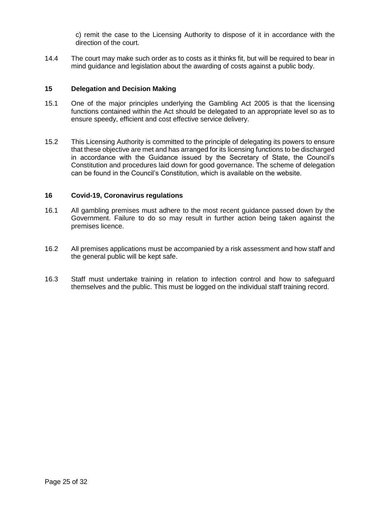c) remit the case to the Licensing Authority to dispose of it in accordance with the direction of the court.

14.4 The court may make such order as to costs as it thinks fit, but will be required to bear in mind guidance and legislation about the awarding of costs against a public body.

## <span id="page-24-0"></span>**15 Delegation and Decision Making**

- 15.1 One of the major principles underlying the Gambling Act 2005 is that the licensing functions contained within the Act should be delegated to an appropriate level so as to ensure speedy, efficient and cost effective service delivery.
- 15.2 This Licensing Authority is committed to the principle of delegating its powers to ensure that these objective are met and has arranged for its licensing functions to be discharged in accordance with the Guidance issued by the Secretary of State, the Council's Constitution and procedures laid down for good governance. The scheme of delegation can be found in the Council's Constitution, which is available on the website.

## **16 Covid-19, Coronavirus regulations**

- 16.1 All gambling premises must adhere to the most recent guidance passed down by the Government. Failure to do so may result in further action being taken against the premises licence.
- 16.2 All premises applications must be accompanied by a risk assessment and how staff and the general public will be kept safe.
- 16.3 Staff must undertake training in relation to infection control and how to safeguard themselves and the public. This must be logged on the individual staff training record.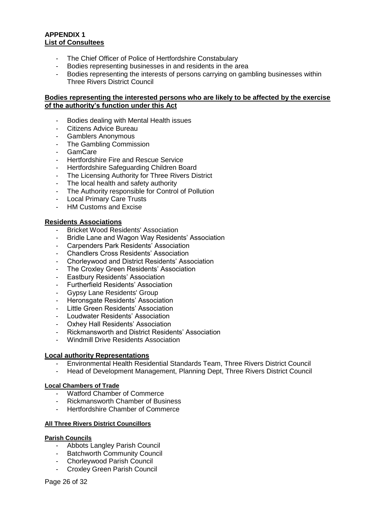## <span id="page-25-0"></span>**APPENDIX 1 List of Consultees**

- The Chief Officer of Police of Hertfordshire Constabulary
- Bodies representing businesses in and residents in the area
- Bodies representing the interests of persons carrying on gambling businesses within Three Rivers District Council

## **Bodies representing the interested persons who are likely to be affected by the exercise of the authority's function under this Act**

- Bodies dealing with Mental Health issues
- Citizens Advice Bureau
- Gamblers Anonymous
- The Gambling Commission
- GamCare
- Hertfordshire Fire and Rescue Service
- Hertfordshire Safeguarding Children Board
- The Licensing Authority for Three Rivers District
- The local health and safety authority
- The Authority responsible for Control of Pollution
- Local Primary Care Trusts
- HM Customs and Excise

## **Residents Associations**

- **Bricket Wood Residents' Association**
- Bridle Lane and Wagon Way Residents' Association
- Carpenders Park Residents<sup>'</sup> Association
- Chandlers Cross Residents' Association
- Chorleywood and District Residents' Association
- The Croxley Green Residents' Association
- Eastbury Residents' Association
- Furtherfield Residents' Association
- Gypsy Lane Residents' Group
- Heronsgate Residents' Association
- Little Green Residents' Association
- Loudwater Residents' Association
- Oxhey Hall Residents' Association
- Rickmansworth and District Residents' Association
- Windmill Drive Residents Association

#### **Local authority Representations**

- Environmental Health Residential Standards Team, Three Rivers District Council
- Head of Development Management, Planning Dept, Three Rivers District Council

#### **Local Chambers of Trade**

- Watford Chamber of Commerce
- Rickmansworth Chamber of Business
- Hertfordshire Chamber of Commerce

#### **All Three Rivers District Councillors**

#### **Parish Councils**

- Abbots Langley Parish Council
- Batchworth Community Council
- Chorleywood Parish Council
- Croxley Green Parish Council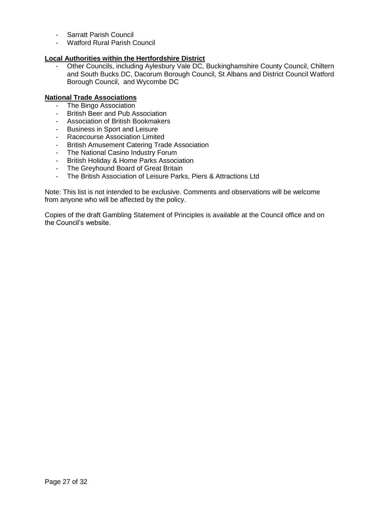- Sarratt Parish Council
- Watford Rural Parish Council

## **Local Authorities within the Hertfordshire District**

- Other Councils, including Aylesbury Vale DC, Buckinghamshire County Council, Chiltern and South Bucks DC, Dacorum Borough Council, St Albans and District Council Watford Borough Council, and Wycombe DC

## **National Trade Associations**

- The Bingo Association
- British Beer and Pub Association
- Association of British Bookmakers
- Business in Sport and Leisure
- Racecourse Association Limited
- British Amusement Catering Trade Association
- The National Casino Industry Forum
- British Holiday & Home Parks Association
- The Greyhound Board of Great Britain
- The British Association of Leisure Parks, Piers & Attractions Ltd

Note: This list is not intended to be exclusive. Comments and observations will be welcome from anyone who will be affected by the policy.

Copies of the draft Gambling Statement of Principles is available at the Council office and on the Council's website.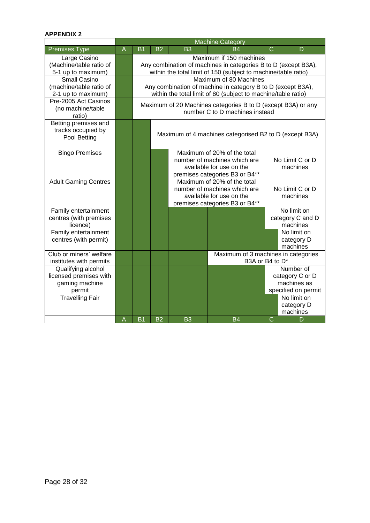# **APPENDIX 2**

|                                                                          |   | <b>Machine Category</b>                                                                                                                                     |                                                                                                                           |                                                                                                                           |                                                        |                                                                    |                                             |
|--------------------------------------------------------------------------|---|-------------------------------------------------------------------------------------------------------------------------------------------------------------|---------------------------------------------------------------------------------------------------------------------------|---------------------------------------------------------------------------------------------------------------------------|--------------------------------------------------------|--------------------------------------------------------------------|---------------------------------------------|
| <b>Premises Type</b>                                                     | A | B <sub>1</sub>                                                                                                                                              | B <sub>2</sub>                                                                                                            | <b>B3</b>                                                                                                                 | R4                                                     | C                                                                  | D                                           |
| Large Casino<br>(Machine/table ratio of<br>5-1 up to maximum)            |   | Maximum if 150 machines<br>Any combination of machines in categories B to D (except B3A),<br>within the total limit of 150 (subject to machine/table ratio) |                                                                                                                           |                                                                                                                           |                                                        |                                                                    |                                             |
| <b>Small Casino</b><br>(machine/table ratio of<br>2-1 up to maximum)     |   | Maximum of 80 Machines<br>Any combination of machine in category B to D (except B3A),<br>within the total limit of 80 (subject to machine/table ratio)      |                                                                                                                           |                                                                                                                           |                                                        |                                                                    |                                             |
| Pre-2005 Act Casinos<br>(no machine/table<br>ratio)                      |   | Maximum of 20 Machines categories B to D (except B3A) or any<br>number C to D machines instead                                                              |                                                                                                                           |                                                                                                                           |                                                        |                                                                    |                                             |
| Betting premises and<br>tracks occupied by<br>Pool Betting               |   | Maximum of 4 machines categorised B2 to D (except B3A)                                                                                                      |                                                                                                                           |                                                                                                                           |                                                        |                                                                    |                                             |
| <b>Bingo Premises</b>                                                    |   |                                                                                                                                                             |                                                                                                                           | Maximum of 20% of the total<br>number of machines which are<br>available for use on the<br>premises categories B3 or B4** |                                                        |                                                                    | No Limit C or D<br>machines                 |
| <b>Adult Gaming Centres</b>                                              |   |                                                                                                                                                             | Maximum of 20% of the total<br>number of machines which are<br>available for use on the<br>premises categories B3 or B4** |                                                                                                                           |                                                        | No Limit C or D<br>machines                                        |                                             |
| Family entertainment<br>centres (with premises<br>licence)               |   |                                                                                                                                                             |                                                                                                                           |                                                                                                                           |                                                        |                                                                    | No limit on<br>category C and D<br>machines |
| Family entertainment<br>centres (with permit)                            |   |                                                                                                                                                             |                                                                                                                           |                                                                                                                           |                                                        |                                                                    | No limit on<br>category D<br>machines       |
| Club or miners' welfare<br>institutes with permits                       |   |                                                                                                                                                             |                                                                                                                           |                                                                                                                           | Maximum of 3 machines in categories<br>B3A or B4 to D* |                                                                    |                                             |
| Qualifying alcohol<br>licensed premises with<br>gaming machine<br>permit |   |                                                                                                                                                             |                                                                                                                           |                                                                                                                           |                                                        | Number of<br>category C or D<br>machines as<br>specified on permit |                                             |
| <b>Travelling Fair</b>                                                   |   |                                                                                                                                                             |                                                                                                                           |                                                                                                                           |                                                        |                                                                    | No limit on<br>category D<br>machines       |
|                                                                          | A | <b>B1</b>                                                                                                                                                   | <b>B2</b>                                                                                                                 | B <sub>3</sub>                                                                                                            | B4                                                     | $\overline{C}$                                                     | D                                           |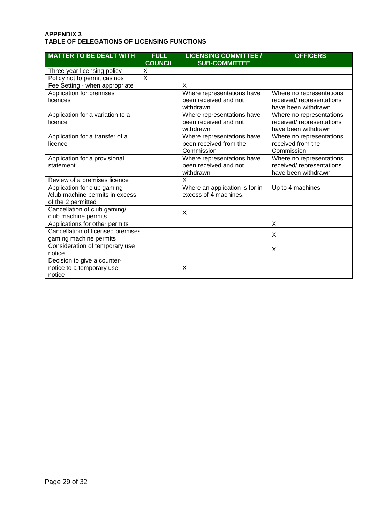#### <span id="page-28-0"></span>**APPENDIX 3 TABLE OF DELEGATIONS OF LICENSING FUNCTIONS**

| <b>MATTER TO BE DEALT WITH</b>                                                       | <b>FULL</b><br><b>COUNCIL</b> | <b>LICENSING COMMITTEE /</b><br><b>SUB-COMMITTEE</b>               | <b>OFFICERS</b>                                                              |
|--------------------------------------------------------------------------------------|-------------------------------|--------------------------------------------------------------------|------------------------------------------------------------------------------|
| Three year licensing policy                                                          | X                             |                                                                    |                                                                              |
| Policy not to permit casinos                                                         | $\overline{\mathsf{x}}$       |                                                                    |                                                                              |
| Fee Setting - when appropriate                                                       |                               | X                                                                  |                                                                              |
| Application for premises<br>licences                                                 |                               | Where representations have<br>been received and not<br>withdrawn   | Where no representations<br>received/ representations<br>have been withdrawn |
| Application for a variation to a<br>licence                                          |                               | Where representations have<br>been received and not<br>withdrawn   | Where no representations<br>received/ representations<br>have been withdrawn |
| Application for a transfer of a<br>licence                                           |                               | Where representations have<br>been received from the<br>Commission | Where no representations<br>received from the<br>Commission                  |
| Application for a provisional<br>statement                                           |                               | Where representations have<br>been received and not<br>withdrawn   | Where no representations<br>received/ representations<br>have been withdrawn |
| Review of a premises licence                                                         |                               | X                                                                  |                                                                              |
| Application for club gaming<br>/club machine permits in excess<br>of the 2 permitted |                               | Where an application is for in<br>excess of 4 machines.            | Up to 4 machines                                                             |
| Cancellation of club gaming/<br>club machine permits                                 |                               | X                                                                  |                                                                              |
| Applications for other permits                                                       |                               |                                                                    | X                                                                            |
| Cancellation of licensed premises<br>gaming machine permits                          |                               |                                                                    | X                                                                            |
| Consideration of temporary use<br>notice                                             |                               |                                                                    | X                                                                            |
| Decision to give a counter-<br>notice to a temporary use<br>notice                   |                               | X                                                                  |                                                                              |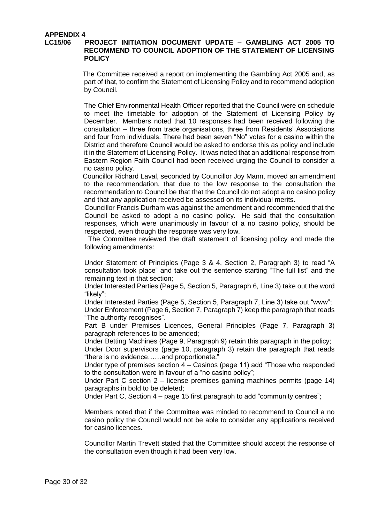# <span id="page-29-0"></span>**APPENDIX 4**

#### **LC15/06 PROJECT INITIATION DOCUMENT UPDATE – GAMBLING ACT 2005 TO RECOMMEND TO COUNCIL ADOPTION OF THE STATEMENT OF LICENSING POLICY**

The Committee received a report on implementing the Gambling Act 2005 and, as part of that, to confirm the Statement of Licensing Policy and to recommend adoption by Council.

The Chief Environmental Health Officer reported that the Council were on schedule to meet the timetable for adoption of the Statement of Licensing Policy by December. Members noted that 10 responses had been received following the consultation – three from trade organisations, three from Residents' Associations and four from individuals. There had been seven "No" votes for a casino within the District and therefore Council would be asked to endorse this as policy and include it in the Statement of Licensing Policy. It was noted that an additional response from Eastern Region Faith Council had been received urging the Council to consider a no casino policy.

 Councillor Richard Laval, seconded by Councillor Joy Mann, moved an amendment to the recommendation, that due to the low response to the consultation the recommendation to Council be that that the Council do not adopt a no casino policy and that any application received be assessed on its individual merits.

Councillor Francis Durham was against the amendment and recommended that the Council be asked to adopt a no casino policy. He said that the consultation responses, which were unanimously in favour of a no casino policy, should be respected, even though the response was very low.

The Committee reviewed the draft statement of licensing policy and made the following amendments:

Under Statement of Principles (Page 3 & 4, Section 2, Paragraph 3) to read "A consultation took place" and take out the sentence starting "The full list" and the remaining text in that section;

Under Interested Parties (Page 5, Section 5, Paragraph 6, Line 3) take out the word "likely";

Under Interested Parties (Page 5, Section 5, Paragraph 7, Line 3) take out "www"; Under Enforcement (Page 6, Section 7, Paragraph 7) keep the paragraph that reads "The authority recognises".

Part B under Premises Licences, General Principles (Page 7, Paragraph 3) paragraph references to be amended;

Under Betting Machines (Page 9, Paragraph 9) retain this paragraph in the policy;

Under Door supervisors (page 10, paragraph 3) retain the paragraph that reads "there is no evidence……and proportionate."

Under type of premises section 4 – Casinos (page 11) add "Those who responded to the consultation were in favour of a "no casino policy";

Under Part C section 2 – license premises gaming machines permits (page 14) paragraphs in bold to be deleted;

Under Part C, Section 4 – page 15 first paragraph to add "community centres";

Members noted that if the Committee was minded to recommend to Council a no casino policy the Council would not be able to consider any applications received for casino licences.

Councillor Martin Trevett stated that the Committee should accept the response of the consultation even though it had been very low.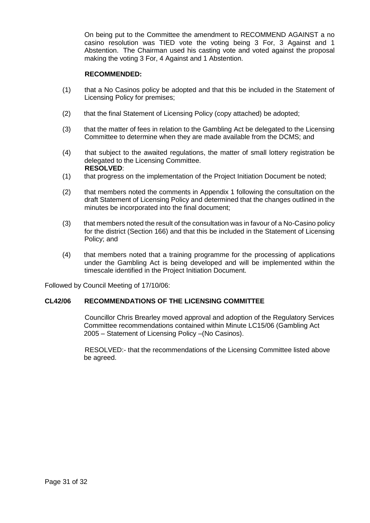On being put to the Committee the amendment to RECOMMEND AGAINST a no casino resolution was TIED vote the voting being 3 For, 3 Against and 1 Abstention. The Chairman used his casting vote and voted against the proposal making the voting 3 For, 4 Against and 1 Abstention.

## **RECOMMENDED:**

- (1) that a No Casinos policy be adopted and that this be included in the Statement of Licensing Policy for premises;
- (2) that the final Statement of Licensing Policy (copy attached) be adopted;
- (3) that the matter of fees in relation to the Gambling Act be delegated to the Licensing Committee to determine when they are made available from the DCMS; and
- (4) that subject to the awaited regulations, the matter of small lottery registration be delegated to the Licensing Committee.  **RESOLVED**:
- (1) that progress on the implementation of the Project Initiation Document be noted;
- (2) that members noted the comments in Appendix 1 following the consultation on the draft Statement of Licensing Policy and determined that the changes outlined in the minutes be incorporated into the final document;
- (3) that members noted the result of the consultation was in favour of a No-Casino policy for the district (Section 166) and that this be included in the Statement of Licensing Policy; and
- (4) that members noted that a training programme for the processing of applications under the Gambling Act is being developed and will be implemented within the timescale identified in the Project Initiation Document.

Followed by Council Meeting of 17/10/06:

## **CL42/06 RECOMMENDATIONS OF THE LICENSING COMMITTEE**

 Councillor Chris Brearley moved approval and adoption of the Regulatory Services Committee recommendations contained within Minute LC15/06 (Gambling Act 2005 – Statement of Licensing Policy –(No Casinos).

RESOLVED:- that the recommendations of the Licensing Committee listed above be agreed.